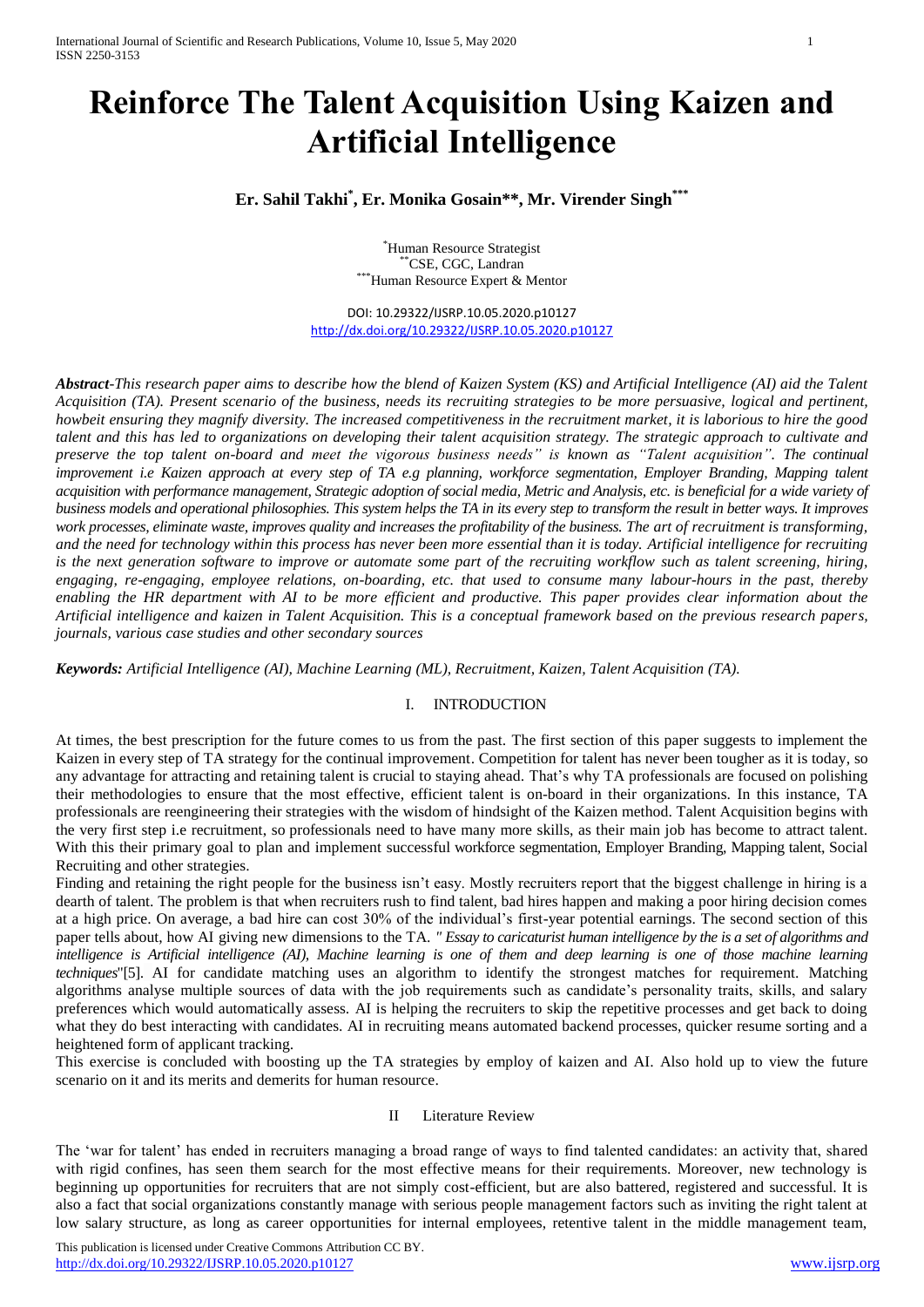# **Reinforce The Talent Acquisition Using Kaizen and Artificial Intelligence**

**Er. Sahil Takhi\* , Er. Monika Gosain\*\*, Mr. Virender Singh\*\*\***

\*Human Resource Strategist \*\*CSE, CGC, Landran \*\*\*Human Resource Expert & Mentor

DOI: 10.29322/IJSRP.10.05.2020.p10127 <http://dx.doi.org/10.29322/IJSRP.10.05.2020.p10127>

*Abstract*-*This research paper aims to describe how the blend of Kaizen System (KS) and Artificial Intelligence (AI) aid the Talent Acquisition (TA). Present scenario of the business, needs its recruiting strategies to be more persuasive, logical and pertinent, howbeit ensuring they magnify diversity. The increased competitiveness in the recruitment market, it is laborious to hire the good talent and this has led to organizations on developing their talent acquisition strategy. The strategic approach to cultivate and preserve the top talent on-board and meet the vigorous business needs" is known as "Talent acquisition". The continual improvement i.e Kaizen approach at every step of TA e.g planning, workforce segmentation, Employer Branding, Mapping talent acquisition with performance management, Strategic adoption of social media, Metric and Analysis, etc. is beneficial for a wide variety of business models and operational philosophies. This system helps the TA in its every step to transform the result in better ways. It improves work processes, eliminate waste, improves quality and increases the profitability of the business. The art of recruitment is transforming, and the need for technology within this process has never been more essential than it is today. Artificial intelligence for recruiting is the next generation software to improve or automate some part of the recruiting workflow such as talent screening, hiring, engaging, re-engaging, employee relations, on-boarding, etc. that used to consume many labour-hours in the past, thereby enabling the HR department with AI to be more efficient and productive. This paper provides clear information about the Artificial intelligence and kaizen in Talent Acquisition. This is a conceptual framework based on the previous research papers, journals, various case studies and other secondary sources*

*Keywords: Artificial Intelligence (AI), Machine Learning (ML), Recruitment, Kaizen, Talent Acquisition (TA).*

## I. INTRODUCTION

At times, the best prescription for the future comes to us from the past. The first section of this paper suggests to implement the Kaizen in every step of TA strategy for the continual improvement. Competition for talent has never been tougher as it is today, so any advantage for attracting and retaining talent is crucial to staying ahead. That's why TA professionals are focused on polishing their methodologies to ensure that the most effective, efficient talent is on-board in their organizations. In this instance, TA professionals are reengineering their strategies with the wisdom of hindsight of the Kaizen method. Talent Acquisition begins with the very first step i.e recruitment, so professionals need to have many more skills, as their main job has become to attract talent. With this their primary goal to plan and implement successful workforce segmentation, Employer Branding, Mapping talent, [Social](https://www.talentlyft.com/en/blog/article/82/social-recruiting-a-complete-guide-on-how-to-recruit-on-facebook) [Recruiting](https://www.talentlyft.com/en/blog/article/82/social-recruiting-a-complete-guide-on-how-to-recruit-on-facebook) and other strategies.

Finding and retaining the right people for the business isn't easy. Mostly recruiters report that the biggest challenge in hiring is a dearth of talent. The problem is that when recruiters rush to find talent, bad hires happen and making a poor hiring decision comes at a high price. On average, a bad hire can cost 30% of the individual's first-year potential earnings. The second section of this paper tells about, how AI giving new dimensions to the TA. *" Essay to caricaturist human intelligence by the is a set of algorithms and intelligence is Artificial intelligence (AI), Machine learning is one of them and deep learning is one of those machine learning techniques*"[5]. AI for candidate matching uses an algorithm to identify the strongest matches for requirement. Matching algorithms analyse multiple sources of data with the job requirements such as candidate's personality traits, skills, and salary preferences which would automatically assess. AI is helping the recruiters to skip the repetitive processes and get back to doing what they do best interacting with candidates. AI in recruiting means automated backend processes, quicker resume sorting and a heightened form of applicant tracking.

This exercise is concluded with boosting up the TA strategies by employ of kaizen and AI. Also hold up to view the future scenario on it and its merits and demerits for human resource.

#### II Literature Review

The 'war for talent' has ended in recruiters managing a broad range of ways to find talented candidates: an activity that, shared with rigid confines, has seen them search for the most effective means for their requirements. Moreover, new technology is beginning up opportunities for recruiters that are not simply cost-efficient, but are also battered, registered and successful. It is also a fact that social organizations constantly manage with serious people management factors such as inviting the right talent at low salary structure, as long as career opportunities for internal employees, retentive talent in the middle management team,

This publication is licensed under Creative Commons Attribution CC BY. <http://dx.doi.org/10.29322/IJSRP.10.05.2020.p10127> [www.ijsrp.org](http://ijsrp.org/)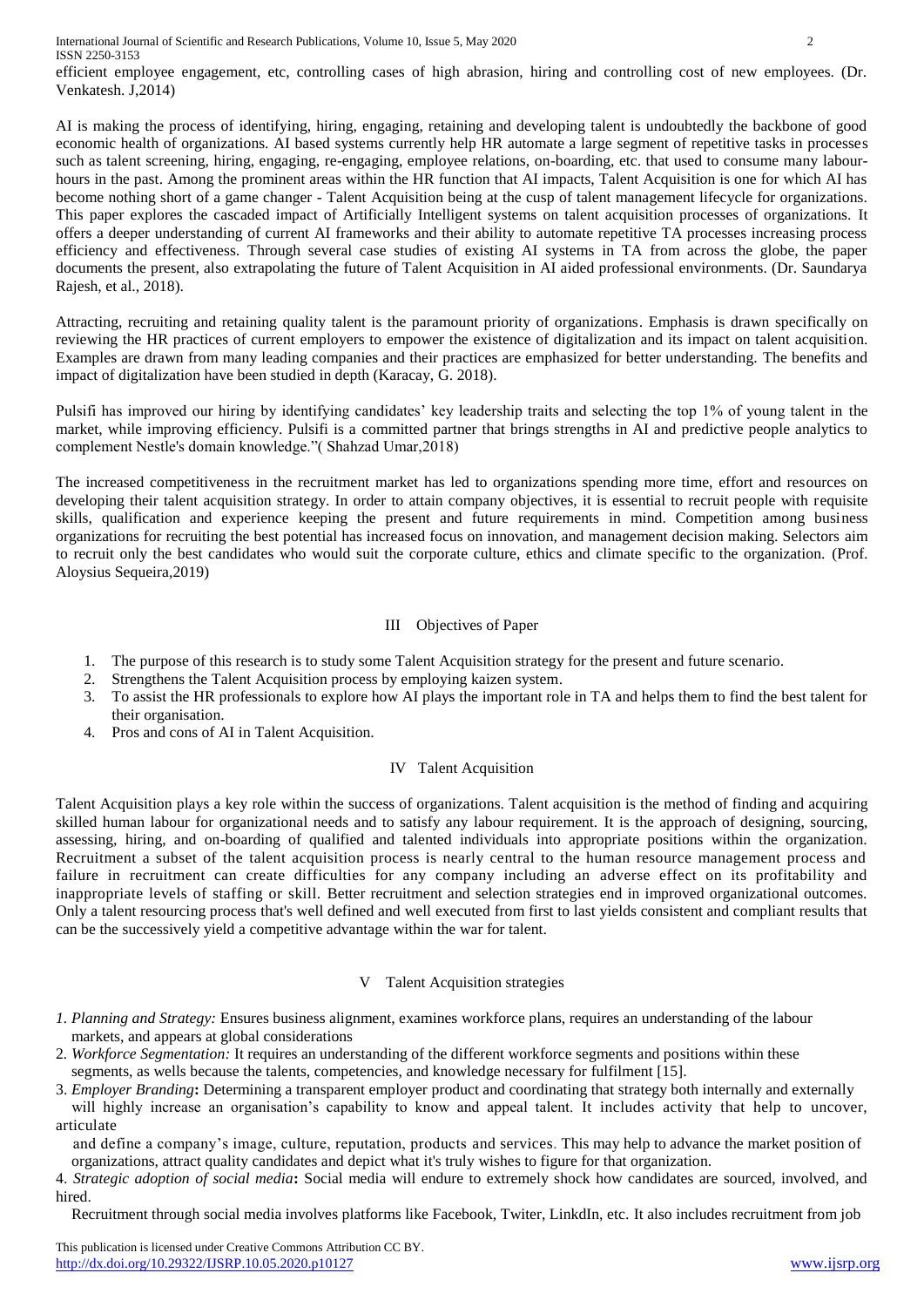International Journal of Scientific and Research Publications, Volume 10, Issue 5, May 2020 2 ISSN 2250-3153

efficient employee engagement, etc, controlling cases of high abrasion, hiring and controlling cost of new employees. (Dr. Venkatesh. J,2014)

AI is making the process of identifying, hiring, engaging, retaining and developing talent is undoubtedly the backbone of good economic health of organizations. AI based systems currently help HR automate a large segment of repetitive tasks in processes such as talent screening, hiring, engaging, re-engaging, employee relations, on-boarding, etc. that used to consume many labourhours in the past. Among the prominent areas within the HR function that AI impacts, Talent Acquisition is one for which AI has become nothing short of a game changer - Talent Acquisition being at the cusp of talent management lifecycle for organizations. This paper explores the cascaded impact of Artificially Intelligent systems on talent acquisition processes of organizations. It offers a deeper understanding of current AI frameworks and their ability to automate repetitive TA processes increasing process efficiency and effectiveness. Through several case studies of existing AI systems in TA from across the globe, the paper documents the present, also extrapolating the future of Talent Acquisition in AI aided professional environments. (Dr. Saundarya Rajesh, et al., 2018).

Attracting, recruiting and retaining quality talent is the paramount priority of organizations. Emphasis is drawn specifically on reviewing the HR practices of current employers to empower the existence of digitalization and its impact on talent acquisition. Examples are drawn from many leading companies and their practices are emphasized for better understanding. The benefits and impact of digitalization have been studied in depth (Karacay, G. 2018).

Pulsifi has improved our hiring by identifying candidates' key leadership traits and selecting the top 1% of young talent in the market, while improving efficiency. Pulsifi is a committed partner that brings strengths in AI and predictive people analytics to complement Nestle's domain knowledge."( Shahzad Umar,2018)

The increased competitiveness in the recruitment market has led to organizations spending more time, effort and resources on developing their talent acquisition strategy. In order to attain company objectives, it is essential to recruit people with requisite skills, qualification and experience keeping the present and future requirements in mind. Competition among business organizations for recruiting the best potential has increased focus on innovation, and management decision making. Selectors aim to recruit only the best candidates who would suit the corporate culture, ethics and climate specific to the organization. (Prof. Aloysius Sequeira,2019)

### III Objectives of Paper

- 1. The purpose of this research is to study some Talent Acquisition strategy for the present and future scenario.
- 2. Strengthens the Talent Acquisition process by employing kaizen system.
- 3. To assist the HR professionals to explore how AI plays the important role in TA and helps them to find the best talent for their organisation.
- 4. Pros and cons of AI in Talent Acquisition.

#### IV Talent Acquisition

Talent Acquisition plays a key role within the success of organizations. Talent acquisition is the method of finding and acquiring skilled human labour for organizational needs and to satisfy any labour requirement. It is the approach of designing, sourcing, assessing, hiring, and on-boarding of qualified and talented individuals into appropriate positions within the organization. Recruitment a subset of the talent acquisition process is nearly central to the human resource management process and failure in recruitment can create difficulties for any company including an adverse effect on its profitability and inappropriate levels of staffing or skill. Better recruitment and selection strategies end in improved organizational outcomes. Only a talent resourcing process that's well defined and well executed from first to last yields consistent and compliant results that can be the successively yield a competitive advantage within the war for talent.

#### V Talent Acquisition strategies

- *1. Planning and Strategy:* Ensures business alignment, examines workforce plans, requires an understanding of the labour markets, and appears at global considerations
- 2*. Workforce Segmentation:* It requires an understanding of the different workforce segments and positions within these segments, as wells because the talents, competencies, and knowledge necessary for fulfilment [15].
- 3. *Employer Branding***:** Determining a transparent employer product and coordinating that strategy both internally and externally
- will highly increase an organisation's capability to know and appeal talent. It includes activity that help to uncover, articulate

 and define a company's image, culture, reputation, products and services. This may help to advance the market position of organizations, attract quality candidates and depict what it's truly wishes to figure for that organization.

4. *Strategic adoption of social media***:** Social media will endure to extremely shock how candidates are sourced, involved, and hired.

Recruitment through social media involves platforms like Facebook, Twiter, LinkdIn, etc. It also includes recruitment from job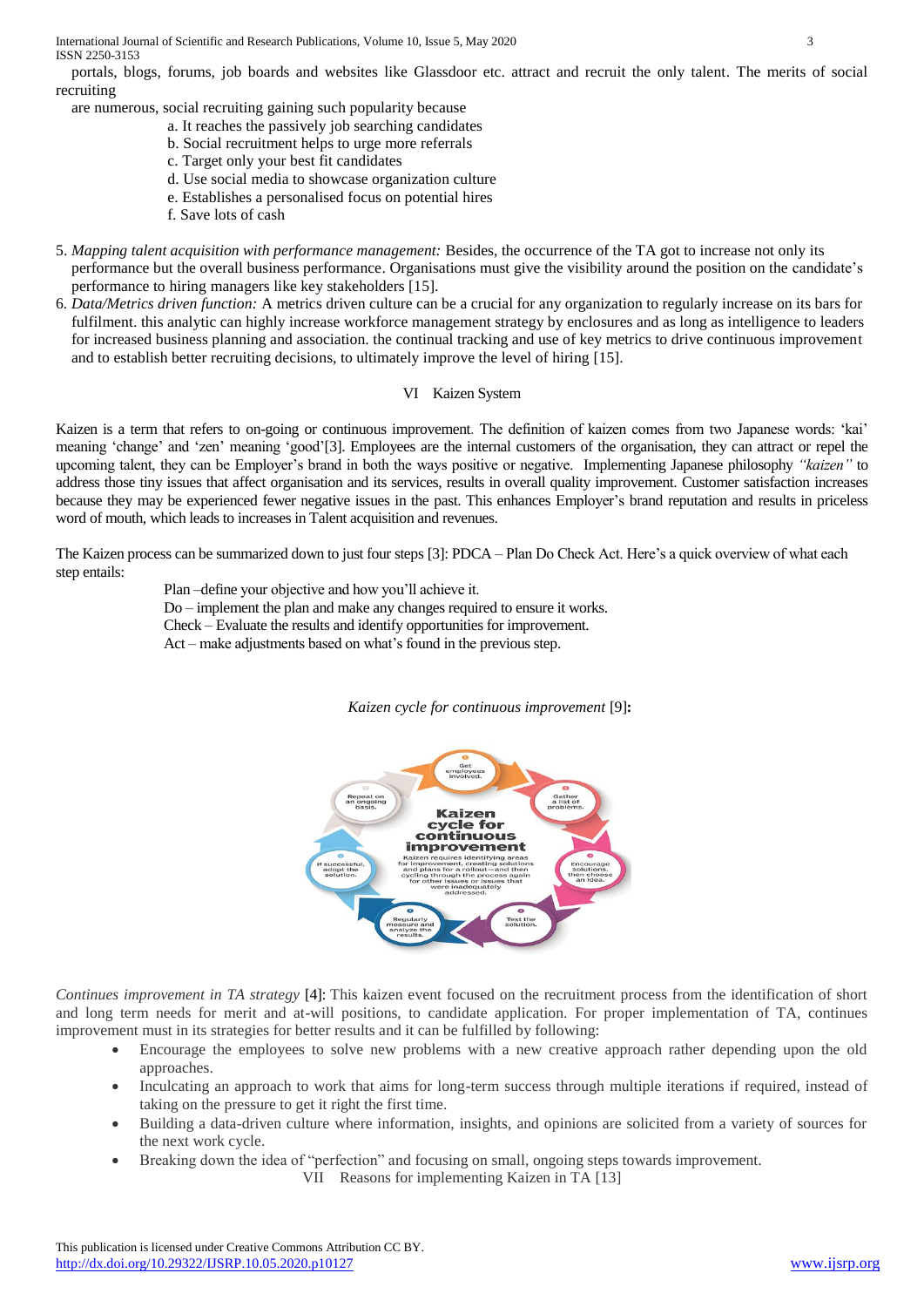International Journal of Scientific and Research Publications, Volume 10, Issue 5, May 2020 3 ISSN 2250-3153

 portals, blogs, forums, job boards and websites like Glassdoor etc. attract and recruit the only talent. The merits of social recruiting

are numerous, social recruiting gaining such popularity because

- a. It reaches the passively job searching candidates
- b. Social recruitment helps to urge more referrals
- c. Target only your best fit candidates
- d. Use social media to showcase organization culture
- e. Establishes a personalised focus on potential hires
- f. Save lots of cash
- 5. *Mapping talent acquisition with performance management:* Besides, the occurrence of the TA got to increase not only its performance but the overall business performance. Organisations must give the visibility around the position on the candidate's performance to hiring managers like key stakeholders [15].
- 6*. Data/Metrics driven function:* A metrics driven culture can be a crucial for any organization to regularly increase on its bars for fulfilment. this analytic can highly increase workforce management strategy by enclosures and as long as intelligence to leaders for increased business planning and association. the continual tracking and use of key metrics to drive continuous improvement and to establish better recruiting decisions, to ultimately improve the level of hiring [15].

#### VI Kaizen System

Kaizen is a term that refers to on-going or continuous improvement. The definition of kaizen comes from two Japanese words: 'kai' meaning 'change' and 'zen' meaning 'good'[3]. Employees are the internal customers of the organisation, they can attract or repel the upcoming talent, they can be Employer's brand in both the ways positive or negative. Implementing Japanese philosophy *"kaizen"* to address those tiny issues that affect organisation and its services, results in overall quality improvement. Customer satisfaction increases because they may be experienced fewer negative issues in the past. This enhances Employer's brand reputation and results in priceless word of mouth, which leads to increases in Talent acquisition and revenues.

The Kaizen process can be summarized down to just four steps [3]: PDCA – Plan Do Check Act. Here's a quick overview of what each step entails:

> Plan –define your objective and how you'll achieve it. Do – implement the plan and make any changes required to ensure it works. Check – Evaluate the results and identify opportunities for improvement. Act – make adjustments based on what's found in the previous step.

## *Kaizen cycle for continuous improvement* [9]**:**



*Continues improvement in TA strategy* [4]: This kaizen event focused on the recruitment process from the identification of short and long term needs for merit and at-will positions, to candidate application. For proper implementation of TA, continues improvement must in its strategies for better results and it can be fulfilled by following:

- Encourage the employees to solve new problems with a new creative approach rather depending upon the old approaches.
- Inculcating an approach to work that aims for long-term success through multiple iterations if required, instead of taking on the pressure to get it right the first time.
- Building a data-driven culture where information, insights, and opinions are solicited from a variety of sources for the next work cycle.
- Breaking down the idea of "perfection" and focusing on small, ongoing steps towards improvement.

VII Reasons for implementing Kaizen in TA [13]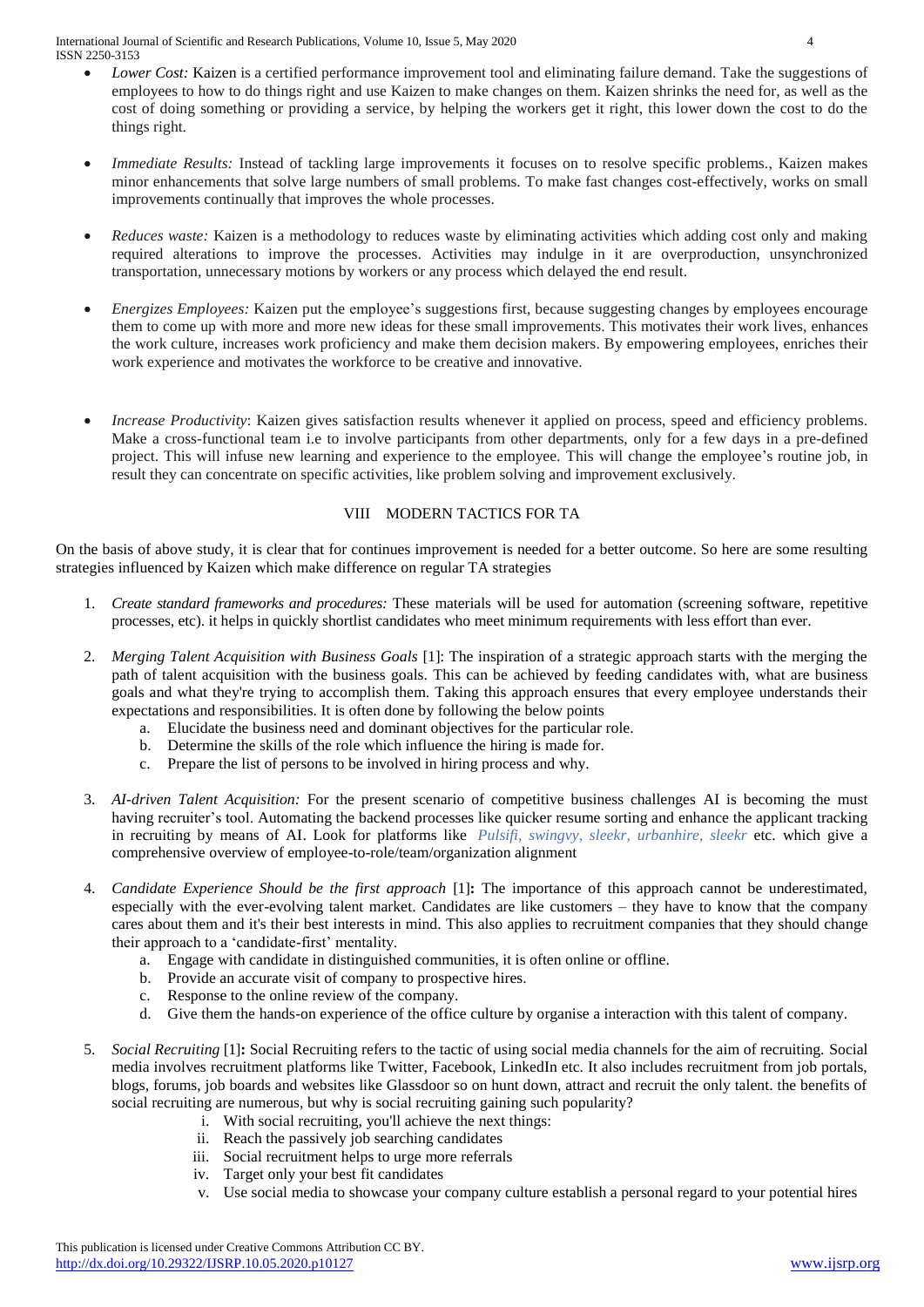International Journal of Scientific and Research Publications, Volume 10, Issue 5, May 2020 4 ISSN 2250-3153

- *Lower Cost:* [Kaizen](https://www.6sigma.us/category/kaizen/) is a certified performance improvement tool and eliminating failure demand. Take the suggestions of employees to how to do things right and use Kaizen to make changes on them. Kaizen shrinks the need for, as well as the cost of doing something or providing a service, by helping the workers get it right, this lower down the cost to do the things right.
- *Immediate Results:* Instead of tackling large improvements it focuses on to resolve specific problems., Kaizen makes minor enhancements that solve large numbers of small problems. To make fast changes cost-effectively, works on small improvements continually that improves the whole processes.
- *Reduces waste:* Kaizen is a methodology to reduces waste by eliminating activities which adding cost only and making required alterations to improve the processes. Activities may indulge in it are overproduction, unsynchronized transportation, unnecessary motions by workers or any process which delayed the end result.
- *Energizes Employees:* Kaizen put the employee's suggestions first, because suggesting changes by employees encourage them to come up with more and more new ideas for these small improvements. This motivates their work lives, enhances the work culture, increases work proficiency and make them decision makers. By empowering employees, enriches their work experience and motivates the workforce to be creative and innovative.
- *Increase Productivity:* Kaizen gives satisfaction results whenever it applied on process, speed and efficiency problems. Make a cross-functional team i.e to involve participants from other departments, only for a few days in a pre-defined project. This will infuse new learning and experience to the employee. This will change the employee's routine job, in result they can concentrate on specific activities, like problem solving and improvement exclusively.

## VIII MODERN TACTICS FOR TA

On the basis of above study, it is clear that for continues improvement is needed for a better outcome. So here are some resulting strategies influenced by Kaizen which make difference on regular TA strategies

- 1. *Create standard frameworks and procedures:* These materials will be used for automation (screening software, repetitive processes, etc). it helps in quickly shortlist candidates who meet minimum requirements with less effort than ever.
- 2. *Merging Talent Acquisition with Business Goals* [1]: The inspiration of a strategic approach starts with the merging the path of talent acquisition with the business goals. This can be achieved by feeding candidates with, what are business goals and what they're trying to accomplish them. Taking this approach ensures that every employee understands their expectations and responsibilities. It is often done by following the below points
	- a. Elucidate the business need and dominant objectives for the particular role.
	- b. Determine the skills of the role which influence the hiring is made for.
	- c. Prepare the list of persons to be involved in hiring process and why.
- 3. *AI-driven Talent Acquisition:* For the present scenario of competitive business challenges AI is becoming the must having recruiter's tool. Automating the backend processes like quicker resume sorting and enhance the applicant tracking in recruiting by means of AI. Look for platforms like *[Pulsifi,](https://pulsifi.me/?zd_source=hrt&zd_campaign=4042&zd_term=chiradeepbasumallick) swingvy, sleekr, urbanhire, sleekr* etc. which give a comprehensive overview of employee-to-role/team/organization alignment
- 4. *Candidate Experience Should be the first approach* [1]**:** The importance of this approach cannot be underestimated, especially with the ever-evolving talent market. Candidates are like customers – they have to know that the company cares about them and it's their best interests in mind. This also applies to recruitment companies that they should change their approach to a 'candidate-first' mentality.
	- a. Engage with candidate in distinguished communities, it is often online or offline.
	- b. Provide an accurate visit of company to prospective hires.
	- c. Response to the online review of the company.
	- d. Give them the hands-on experience of the office culture by organise a interaction with this talent of company.
- 5. *Social Recruiting* [1]**:** Social Recruiting refers to the tactic of using social media channels for the aim of recruiting. Social media involves recruitment platforms like Twitter, Facebook, LinkedIn etc. It also includes recruitment from job portals, blogs, forums, job boards and websites like Glassdoor so on hunt down, attract and recruit the only talent. the benefits of social recruiting are numerous, but why is social recruiting gaining such popularity?
	- i. With social recruiting, you'll achieve the next things:
	- ii. Reach the passively job searching candidates
	- iii. Social recruitment helps to urge more referrals
	- iv. Target only your best fit candidates
	- v. Use social media to showcase your company culture establish a personal regard to your potential hires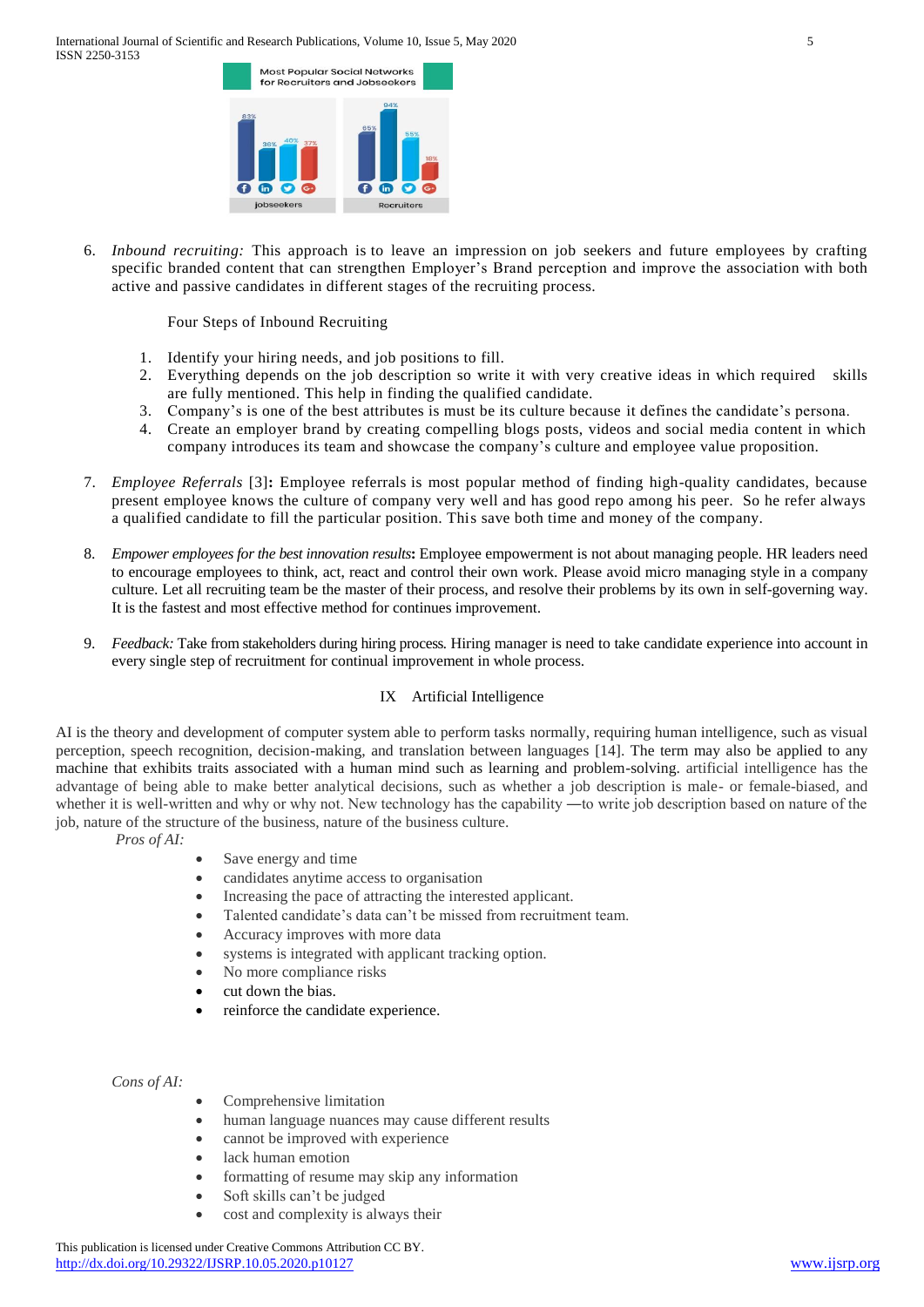

6. *Inbound recruiting:* This approach is to leave an impression on job seekers and future employees by crafting specific branded content that can strengthen Employer's Brand perception and improve the association with both active and passive candidates in different stages of the recruiting process.

Four Steps of Inbound Recruiting

- 1. Identify your hiring needs, and job positions to fill.
- 2. Everything depends on the job description so write it with very creative ideas in which required skills are fully mentioned. This help in finding the qualified candidate.
- 3. Company's is one of the best attributes is must be its culture because it defines the candidate's persona.
- 4. Create an employer brand by creating compelling blogs posts, videos and social media content in which company introduces its team and showcase the company's culture and employee value proposition.
- 7. *Employee Referrals* [3]**:** Employee referrals is most popular method of finding high-quality candidates, because present employee knows the culture of company very well and has good repo among his peer. So he refer always a qualified candidate to fill the particular position. This save both time and money of the company.
- 8. *Empower employees for the best innovation results***:** Employee empowerment is not about managing people. HR leaders need to encourage employees to think, act, react and control their own work. Please avoid [micro managing style](http://vnmanpower.com/en/are-you-a-micro-manager-bl120.html) in a company culture. Let all recruiting team be the master of their process, and resolve their problems by its own in self-governing way. It is the fastest and most effective method for continues improvement.
- 9. *Feedback:* Take from stakeholders during hiring process*.* Hiring manager is need to take [candidate experience](http://vnmanpower.com/en/candidate-experience-do-you-really-win-at-it-bl240.html) into account in every single step of recruitment for continual improvement in whole process.

## IX Artificial Intelligence

AI is the theory and development of computer system able to perform tasks normally, requiring human intelligence, such as visual perception, speech recognition, decision-making, and translation between languages [14]. The term may also be applied to any machine that exhibits traits associated with a human mind such as learning and problem-solving. artificial intelligence has the advantage of being able to make better analytical decisions, such as whether a job description is male- or female-biased, and whether it is well-written and why or why not. New technology has the capability —to write job description based on nature of the job, nature of the structure of the business, nature of the business culture.

- *Pros of AI:*
- Save energy and time
- candidates anytime access to organisation
- Increasing the pace of attracting the interested applicant.
- Talented candidate's data can't be missed from recruitment team.
- Accuracy improves with more data
- systems is integrated with applicant tracking option.
- No more compliance risks
- cut down the bias.
- reinforce the candidate experience.

*Cons of AI:* 

- Comprehensive limitation
- human language nuances may cause different results
- cannot be improved with experience
- lack human emotion
- formatting of resume may skip any information
- Soft skills can't be judged
- cost and complexity is always their

This publication is licensed under Creative Commons Attribution CC BY. <http://dx.doi.org/10.29322/IJSRP.10.05.2020.p10127> [www.ijsrp.org](http://ijsrp.org/)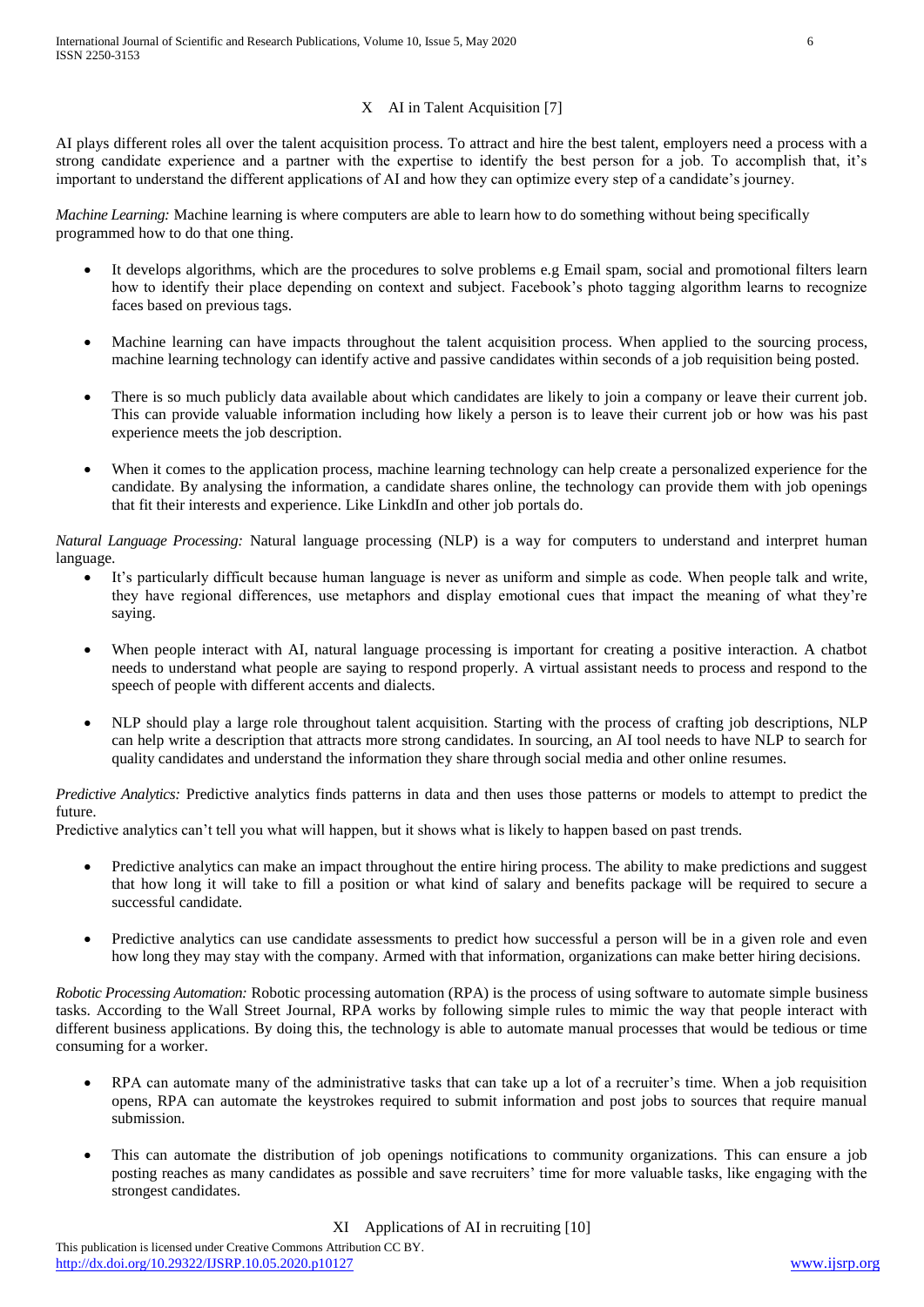## X AI in Talent Acquisition [7]

AI plays different roles all over the talent acquisition process. To attract and hire the best talent, employers need a process with a strong candidate experience and a partner with the expertise to identify the best person for a job. To accomplish that, it's important to understand the different applications of AI and how they can optimize every step of a candidate's journey.

*Machine Learning:* Machine learning is where computers are able to learn how to do something without being specifically programmed how to do that one thing.

- It develops algorithms, which are the procedures to solve problems e.g Email spam, social and promotional filters learn how to identify their place depending on context and subject. Facebook's photo tagging algorithm learns to recognize faces based on previous tags.
- Machine learning can have impacts throughout the talent acquisition process. When applied to the sourcing process, machine learning technology can identify active and passive candidates within seconds of a job requisition being posted.
- There is so much publicly data available about which candidates are likely to join a company or leave their current job. This can provide valuable information including how likely a person is to leave their current job or how was his past experience meets the job description.
- When it comes to the application process, machine learning technology can help create a personalized experience for the candidate. By analysing the information, a candidate shares online, the technology can provide them with job openings that fit their interests and experience. Like LinkdIn and other job portals do.

*Natural Language Processing:* Natural language processing (NLP) is a way for computers to understand and interpret human language.

- It's particularly difficult because human language is never as uniform and simple as code. When people talk and write, they have regional differences, use metaphors and display emotional cues that impact the meaning of what they're saying.
- When people interact with AI, natural language processing is important for creating a positive interaction. A chatbot needs to understand what people are saying to respond properly. A virtual assistant needs to process and respond to the speech of people with different accents and dialects.
- NLP should play a large role throughout talent acquisition. Starting with the process of crafting job descriptions, NLP can help write a description that attracts more strong candidates. In sourcing, an AI tool needs to have NLP to search for quality candidates and understand the information they share through social media and other online resumes.

*Predictive Analytics:* Predictive analytics finds patterns in data and then uses those patterns or models to attempt to predict the future.

Predictive analytics can't tell you what will happen, but it shows what is likely to happen based on past trends.

- Predictive analytics can make an impact throughout the entire hiring process. The ability to make predictions and suggest that how long it will take to fill a position or what kind of salary and benefits package will be required to secure a successful candidate.
- Predictive analytics can use candidate assessments to predict how successful a person will be in a given role and even how long they may stay with the company. Armed with that information, organizations can make better hiring decisions.

*Robotic Processing Automation:* Robotic processing automation (RPA) is the process of using software to automate simple business tasks. According to the [Wall Street Journal,](http://deloitte.wsj.com/cio/2016/03/13/an-introduction-to-robotic-process-automation/) RPA works by following simple rules to mimic the way that people interact with different business applications. By doing this, the technology is able to automate manual processes that would be tedious or time consuming for a worker.

- RPA can automate many of the administrative tasks that can take up a lot of a recruiter's time. When a job requisition opens, RPA can automate the keystrokes required to submit information and post jobs to sources that require manual submission.
- This can automate the distribution of job openings notifications to community organizations. This can ensure a job posting reaches as many candidates as possible and save recruiters' time for more valuable tasks, like engaging with the strongest candidates.

XI Applications of AI in recruiting [10]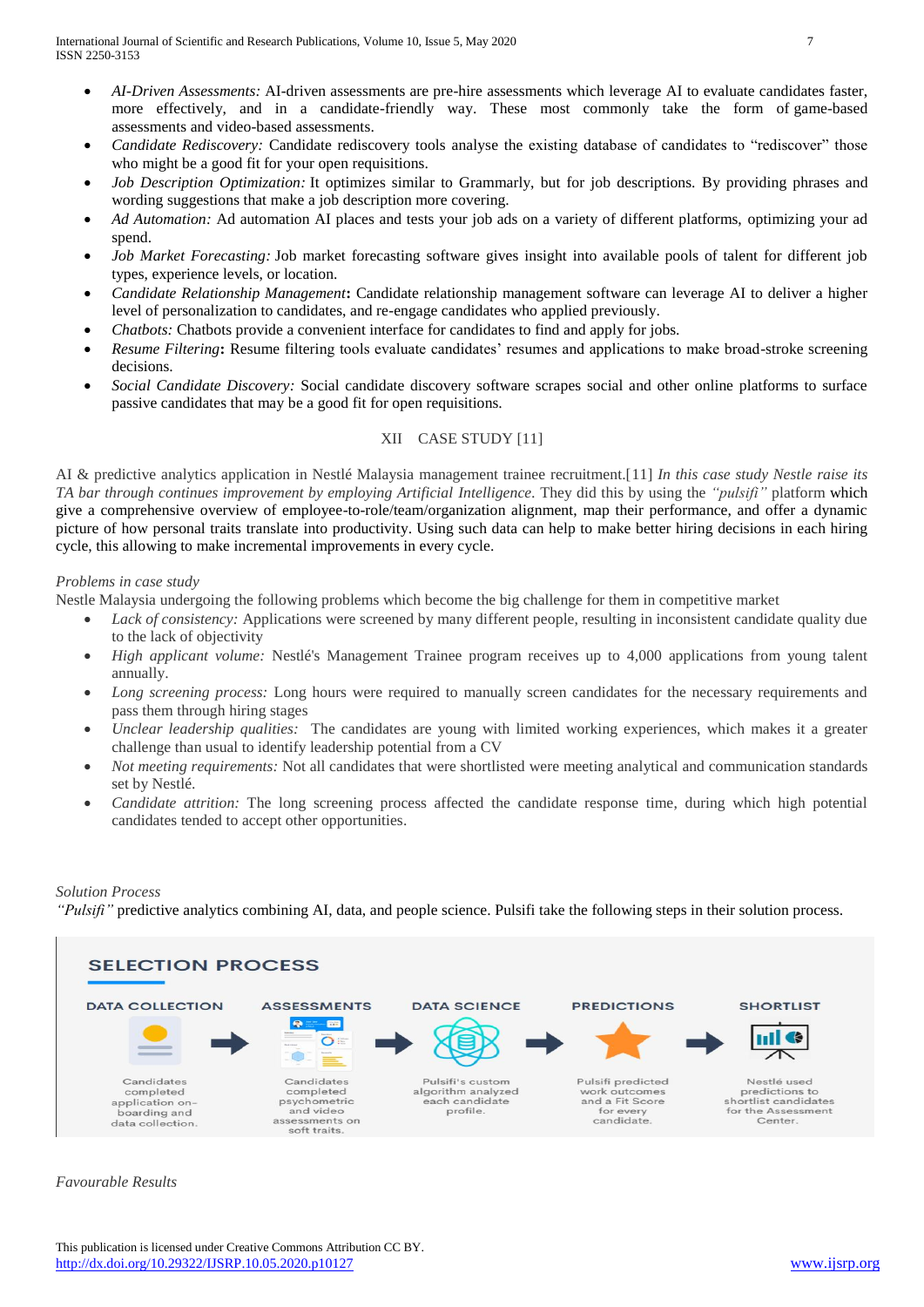- *AI-Driven Assessments:* AI-driven assessments are pre-hire assessments which leverage AI to evaluate candidates faster, more effectively, and in a candidate-friendly way. These most commonly take the form of [game-based](https://hirevue.com/blog/what-are-game-based-assessments)  [assessments](https://hirevue.com/blog/what-are-game-based-assessments) and [video-based assessments.](https://hirevue.com/products/assessments)
- *Candidate Rediscovery:* Candidate rediscovery tools analyse the existing database of candidates to "rediscover" those who might be a good fit for your open requisitions.
- *Job Description Optimization:* It optimizes similar to Grammarly, but for job descriptions. By providing phrases and wording suggestions that make a job description more covering.
- *Ad Automation:* Ad automation AI places and tests your job ads on a variety of different platforms, optimizing your ad spend.
- *Job Market Forecasting:* Job market forecasting software gives insight into available pools of talent for different job types, experience levels, or location.
- *Candidate Relationship Management***:** Candidate relationship management software can leverage AI to deliver a higher level of personalization to candidates, and re-engage candidates who applied previously.
- *Chatbots:* Chatbots provide a convenient interface for candidates to find and apply for jobs.
- *Resume Filtering***:** Resume filtering tools evaluate candidates' resumes and applications to make broad-stroke screening decisions.
- *Social Candidate Discovery:* Social candidate discovery software scrapes social and other online platforms to surface passive candidates that may be a good fit for open requisitions.

## XII CASE STUDY [11]

AI & predictive analytics application in Nestlé Malaysia management trainee recruitment.[11] *In this case study Nestle raise its TA bar through continues improvement by employing Artificial Intelligence.* They did this by using the *"pulsifi"* platform which give a comprehensive overview of employee-to-role/team/organization alignment, map their performance, and offer a dynamic picture of how personal traits translate into productivity. Using such data can help to make better hiring decisions in each hiring cycle, this allowing to make incremental improvements in every cycle.

### *Problems in case study*

Nestle Malaysia undergoing the following problems which become the big challenge for them in competitive market

- *Lack of consistency:* Applications were screened by many different people, resulting in inconsistent candidate quality due to the lack of objectivity
- *High applicant volume:* Nestlé's Management Trainee program receives up to 4,000 applications from young talent annually.
- *Long screening process:* Long hours were required to manually screen candidates for the necessary requirements and pass them through hiring stages
- *Unclear leadership qualities:* The candidates are young with limited working experiences, which makes it a greater challenge than usual to identify leadership potential from a CV
- *Not meeting requirements:* Not all candidates that were shortlisted were meeting analytical and communication standards set by Nestlé.
- *Candidate attrition:* The long screening process affected the candidate response time, during which high potential candidates tended to accept other opportunities.

## *Solution Process*

*"Pulsifi"* predictive analytics combining AI, data, and people science. Pulsifi take the following steps in their solution process.



*Favourable Results*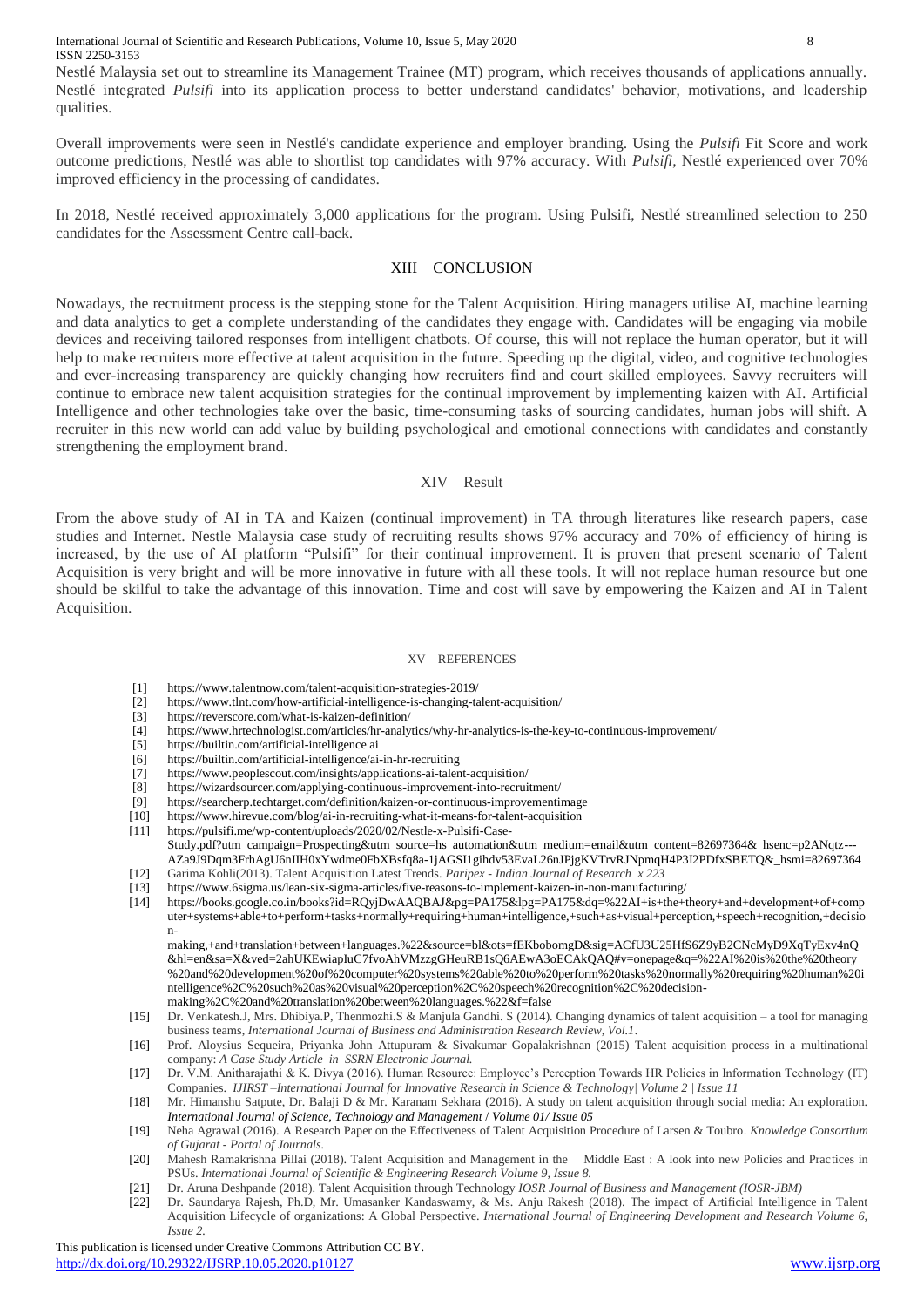International Journal of Scientific and Research Publications, Volume 10, Issue 5, May 2020 8 ISSN 2250-3153

Nestlé Malaysia set out to streamline its Management Trainee (MT) program, which receives thousands of applications annually. Nestlé integrated *Pulsifi* into its application process to better understand candidates' behavior, motivations, and leadership qualities.

Overall improvements were seen in Nestlé's candidate experience and employer branding. Using the *Pulsifi* Fit Score and work outcome predictions, Nestlé was able to shortlist top candidates with 97% accuracy. With *Pulsifi,* Nestlé experienced over 70% improved efficiency in the processing of candidates.

In 2018, Nestlé received approximately 3,000 applications for the program. Using Pulsifi, Nestlé streamlined selection to 250 candidates for the Assessment Centre call-back.

## XIII CONCLUSION

Nowadays, the recruitment process is the stepping stone for the Talent Acquisition. Hiring managers utilise AI, machine learning and data analytics to get a complete understanding of the candidates they engage with. Candidates will be engaging via mobile devices and receiving tailored responses from intelligent chatbots. Of course, this will not replace the human operator, but it will help to make recruiters more effective at talent acquisition in the future. Speeding up the digital, video, and cognitive technologies and ever-increasing transparency are quickly changing how recruiters find and court skilled employees. Savvy recruiters will continue to embrace new talent acquisition strategies for the continual improvement by implementing kaizen with AI. Artificial Intelligence and other technologies take over the basic, time-consuming tasks of sourcing candidates, human jobs will shift. A recruiter in this new world can add value by building psychological and emotional connections with candidates and constantly strengthening the employment brand.

#### XIV Result

From the above study of AI in TA and Kaizen (continual improvement) in TA through literatures like research papers, case studies and Internet. Nestle Malaysia case study of recruiting results shows 97% accuracy and 70% of efficiency of hiring is increased, by the use of AI platform "Pulsifi" for their continual improvement. It is proven that present scenario of Talent Acquisition is very bright and will be more innovative in future with all these tools. It will not replace human resource but one should be skilful to take the advantage of this innovation. Time and cost will save by empowering the Kaizen and AI in Talent Acquisition.

#### XV REFERENCES

- [1] <https://www.talentnow.com/talent-acquisition-strategies-2019/>
- [2] <https://www.tlnt.com/how-artificial-intelligence-is-changing-talent-acquisition/>
- [3] <https://reverscore.com/what-is-kaizen-definition/>
- [4] <https://www.hrtechnologist.com/articles/hr-analytics/why-hr-analytics-is-the-key-to-continuous-improvement/>
- [5] <https://builtin.com/artificial-intelligence> ai
- [6] <https://builtin.com/artificial-intelligence/ai-in-hr-recruiting>
- [7] <https://www.peoplescout.com/insights/applications-ai-talent-acquisition/>
- [8] <https://wizardsourcer.com/applying-continuous-improvement-into-recruitment/>
- [9] <https://searcherp.techtarget.com/definition/kaizen-or-continuous-improvementimage>
- [10] <https://www.hirevue.com/blog/ai-in-recruiting-what-it-means-for-talent-acquisition>
- [11] [https://pulsifi.me/wp-content/uploads/2020/02/Nestle-x-Pulsifi-Case-](https://pulsifi.me/wp-content/uploads/2020/02/Nestle-x-Pulsifi-Case-Study.pdf?utm_campaign=Prospecting&utm_source=hs_automation&utm_medium=email&utm_content=82697364&_hsenc=p2ANqtz---AZa9J9Dqm3FrhAgU6nIIH0xYwdme0FbXBsfq8a-1jAGSI1gihdv53EvaL26nJPjgKVTrvRJNpmqH4P3I2PDfxSBETQ&_hsmi=82697364)
- [Study.pdf?utm\\_campaign=Prospecting&utm\\_source=hs\\_automation&utm\\_medium=email&utm\\_content=82697364&\\_hsenc=p2ANqtz---](https://pulsifi.me/wp-content/uploads/2020/02/Nestle-x-Pulsifi-Case-Study.pdf?utm_campaign=Prospecting&utm_source=hs_automation&utm_medium=email&utm_content=82697364&_hsenc=p2ANqtz---AZa9J9Dqm3FrhAgU6nIIH0xYwdme0FbXBsfq8a-1jAGSI1gihdv53EvaL26nJPjgKVTrvRJNpmqH4P3I2PDfxSBETQ&_hsmi=82697364) [AZa9J9Dqm3FrhAgU6nIIH0xYwdme0FbXBsfq8a-1jAGSI1gihdv53EvaL26nJPjgKVTrvRJNpmqH4P3I2PDfxSBETQ&\\_hsmi=82697364](https://pulsifi.me/wp-content/uploads/2020/02/Nestle-x-Pulsifi-Case-Study.pdf?utm_campaign=Prospecting&utm_source=hs_automation&utm_medium=email&utm_content=82697364&_hsenc=p2ANqtz---AZa9J9Dqm3FrhAgU6nIIH0xYwdme0FbXBsfq8a-1jAGSI1gihdv53EvaL26nJPjgKVTrvRJNpmqH4P3I2PDfxSBETQ&_hsmi=82697364) [12] Garima Kohli(2013). Talent Acquisition Latest Trends. *Paripex - Indian Journal of Research x 223*
- [13] <https://www.6sigma.us/lean-six-sigma-articles/five-reasons-to-implement-kaizen-in-non-manufacturing/>
- [14] [https://books.google.co.in/books?id=RQyjDwAAQBAJ&pg=PA175&lpg=PA175&dq=%22AI+is+the+theory+and+development+of+comp](https://books.google.co.in/books?id=RQyjDwAAQBAJ&pg=PA175&lpg=PA175&dq=%22AI+is+the+theory+and+development+of+computer+systems+able+to+perform+tasks+normally+requiring+human+intelligence,+such+as+visual+perception,+speech+recognition,+decision-making,+and+translation+between+languages.%22&source=bl&ots=fEKbobomgD&sig=ACfU3U25HfS6Z9yB2CNcMyD9XqTyExv4nQ&hl=en&sa=X&ved=2ahUKEwiapIuC7fvoAhVMzzgGHeuRB1sQ6AEwA3oECAkQAQ#v=onepage&q=%22AI%20is%20the%20theory%20and%20development%20of%20computer%20systems%20able%20to%20perform%20tasks%20normally%20requiring%20human%20intelligence%2C%20such%20as%20visual%20perception%2C%20speech%20recognition%2C%20decision-making%2C%20and%20) [uter+systems+able+to+perform+tasks+normally+requiring+human+intelligence,+such+as+visual+perception,+speech+recognition,+decisio](https://books.google.co.in/books?id=RQyjDwAAQBAJ&pg=PA175&lpg=PA175&dq=%22AI+is+the+theory+and+development+of+computer+systems+able+to+perform+tasks+normally+requiring+human+intelligence,+such+as+visual+perception,+speech+recognition,+decision-making,+and+translation+between+languages.%22&source=bl&ots=fEKbobomgD&sig=ACfU3U25HfS6Z9yB2CNcMyD9XqTyExv4nQ&hl=en&sa=X&ved=2ahUKEwiapIuC7fvoAhVMzzgGHeuRB1sQ6AEwA3oECAkQAQ#v=onepage&q=%22AI%20is%20the%20theory%20and%20development%20of%20computer%20systems%20able%20to%20perform%20tasks%20normally%20requiring%20human%20intelligence%2C%20such%20as%20visual%20perception%2C%20speech%20recognition%2C%20decision-making%2C%20and%20) [n-](https://books.google.co.in/books?id=RQyjDwAAQBAJ&pg=PA175&lpg=PA175&dq=%22AI+is+the+theory+and+development+of+computer+systems+able+to+perform+tasks+normally+requiring+human+intelligence,+such+as+visual+perception,+speech+recognition,+decision-making,+and+translation+between+languages.%22&source=bl&ots=fEKbobomgD&sig=ACfU3U25HfS6Z9yB2CNcMyD9XqTyExv4nQ&hl=en&sa=X&ved=2ahUKEwiapIuC7fvoAhVMzzgGHeuRB1sQ6AEwA3oECAkQAQ#v=onepage&q=%22AI%20is%20the%20theory%20and%20development%20of%20computer%20systems%20able%20to%20perform%20tasks%20normally%20requiring%20human%20intelligence%2C%20such%20as%20visual%20perception%2C%20speech%20recognition%2C%20decision-making%2C%20and%20)

[making,+and+translation+between+languages.%22&source=bl&ots=fEKbobomgD&sig=ACfU3U25HfS6Z9yB2CNcMyD9XqTyExv4nQ](https://books.google.co.in/books?id=RQyjDwAAQBAJ&pg=PA175&lpg=PA175&dq=%22AI+is+the+theory+and+development+of+computer+systems+able+to+perform+tasks+normally+requiring+human+intelligence,+such+as+visual+perception,+speech+recognition,+decision-making,+and+translation+between+languages.%22&source=bl&ots=fEKbobomgD&sig=ACfU3U25HfS6Z9yB2CNcMyD9XqTyExv4nQ&hl=en&sa=X&ved=2ahUKEwiapIuC7fvoAhVMzzgGHeuRB1sQ6AEwA3oECAkQAQ#v=onepage&q=%22AI%20is%20the%20theory%20and%20development%20of%20computer%20systems%20able%20to%20perform%20tasks%20normally%20requiring%20human%20intelligence%2C%20such%20as%20visual%20perception%2C%20speech%20recognition%2C%20decision-making%2C%20and%20) [&hl=en&sa=X&ved=2ahUKEwiapIuC7fvoAhVMzzgGHeuRB1sQ6AEwA3oECAkQAQ#v=onepage&q=%22AI%20is%20the%20theory](https://books.google.co.in/books?id=RQyjDwAAQBAJ&pg=PA175&lpg=PA175&dq=%22AI+is+the+theory+and+development+of+computer+systems+able+to+perform+tasks+normally+requiring+human+intelligence,+such+as+visual+perception,+speech+recognition,+decision-making,+and+translation+between+languages.%22&source=bl&ots=fEKbobomgD&sig=ACfU3U25HfS6Z9yB2CNcMyD9XqTyExv4nQ&hl=en&sa=X&ved=2ahUKEwiapIuC7fvoAhVMzzgGHeuRB1sQ6AEwA3oECAkQAQ#v=onepage&q=%22AI%20is%20the%20theory%20and%20development%20of%20computer%20systems%20able%20to%20perform%20tasks%20normally%20requiring%20human%20intelligence%2C%20such%20as%20visual%20perception%2C%20speech%20recognition%2C%20decision-making%2C%20and%20) [%20and%20development%20of%20computer%20systems%20able%20to%20perform%20tasks%20normally%20requiring%20human%20i](https://books.google.co.in/books?id=RQyjDwAAQBAJ&pg=PA175&lpg=PA175&dq=%22AI+is+the+theory+and+development+of+computer+systems+able+to+perform+tasks+normally+requiring+human+intelligence,+such+as+visual+perception,+speech+recognition,+decision-making,+and+translation+between+languages.%22&source=bl&ots=fEKbobomgD&sig=ACfU3U25HfS6Z9yB2CNcMyD9XqTyExv4nQ&hl=en&sa=X&ved=2ahUKEwiapIuC7fvoAhVMzzgGHeuRB1sQ6AEwA3oECAkQAQ#v=onepage&q=%22AI%20is%20the%20theory%20and%20development%20of%20computer%20systems%20able%20to%20perform%20tasks%20normally%20requiring%20human%20intelligence%2C%20such%20as%20visual%20perception%2C%20speech%20recognition%2C%20decision-making%2C%20and%20) [ntelligence%2C%20such%20as%20visual%20perception%2C%20speech%20recognition%2C%20decision](https://books.google.co.in/books?id=RQyjDwAAQBAJ&pg=PA175&lpg=PA175&dq=%22AI+is+the+theory+and+development+of+computer+systems+able+to+perform+tasks+normally+requiring+human+intelligence,+such+as+visual+perception,+speech+recognition,+decision-making,+and+translation+between+languages.%22&source=bl&ots=fEKbobomgD&sig=ACfU3U25HfS6Z9yB2CNcMyD9XqTyExv4nQ&hl=en&sa=X&ved=2ahUKEwiapIuC7fvoAhVMzzgGHeuRB1sQ6AEwA3oECAkQAQ#v=onepage&q=%22AI%20is%20the%20theory%20and%20development%20of%20computer%20systems%20able%20to%20perform%20tasks%20normally%20requiring%20human%20intelligence%2C%20such%20as%20visual%20perception%2C%20speech%20recognition%2C%20decision-making%2C%20and%20)[making%2C%20and%20translation%20between%20languages.%22&f=false](https://books.google.co.in/books?id=RQyjDwAAQBAJ&pg=PA175&lpg=PA175&dq=%22AI+is+the+theory+and+development+of+computer+systems+able+to+perform+tasks+normally+requiring+human+intelligence,+such+as+visual+perception,+speech+recognition,+decision-making,+and+translation+between+languages.%22&source=bl&ots=fEKbobomgD&sig=ACfU3U25HfS6Z9yB2CNcMyD9XqTyExv4nQ&hl=en&sa=X&ved=2ahUKEwiapIuC7fvoAhVMzzgGHeuRB1sQ6AEwA3oECAkQAQ#v=onepage&q=%22AI%20is%20the%20theory%20and%20development%20of%20computer%20systems%20able%20to%20perform%20tasks%20normally%20requiring%20human%20intelligence%2C%20such%20as%20visual%20perception%2C%20speech%20recognition%2C%20decision-making%2C%20and%20)

- [15] Dr. Venkatesh.J, Mrs. Dhibiya.P, Thenmozhi.S & Manjula Gandhi. S (2014)*.* Changing dynamics of talent acquisition a tool for managing business teams, *International Journal of Business and Administration Research Review, Vol.1.*
- [16] Prof. Aloysius Sequeira, Priyanka John Attupuram & Sivakumar Gopalakrishnan (2015) Talent acquisition process in a multinational company: *A Case Study Article in SSRN Electronic Journal.*
- [17] Dr. V.M. Anitharajathi & K. Divya (2016). Human Resource: Employee's Perception Towards HR Policies in Information Technology (IT) Companies. *IJIRST –International Journal for Innovative Research in Science & Technology| Volume 2 | Issue 11*
- [18] Mr. Himanshu Satpute, Dr. Balaji D & Mr. Karanam Sekhara (2016). A study on talent acquisition through social media: An exploration. *International Journal of Science, Technology and Management* / *Volume 01/ Issue 05*
- [19] Neha Agrawal (2016). A Research Paper on the Effectiveness of Talent Acquisition Procedure of Larsen & Toubro. *Knowledge Consortium of Gujarat - Portal of Journals.*
- [20] Mahesh Ramakrishna Pillai (2018). Talent Acquisition and Management in the Middle East : A look into new Policies and Practices in PSUs. *International Journal of Scientific & Engineering Research Volume 9, Issue 8.*
- [21] Dr. Aruna Deshpande (2018). Talent Acquisition through Technology *IOSR Journal of Business and Management (IOSR-JBM)*
- [22] Dr. Saundarya Rajesh, Ph.D, Mr. Umasanker Kandaswamy, & Ms. Anju Rakesh (2018). The impact of Artificial Intelligence in Talent Acquisition Lifecycle of organizations: A Global Perspective. *International Journal of Engineering Development and Research Volume 6, Issue 2.*

This publication is licensed under Creative Commons Attribution CC BY.